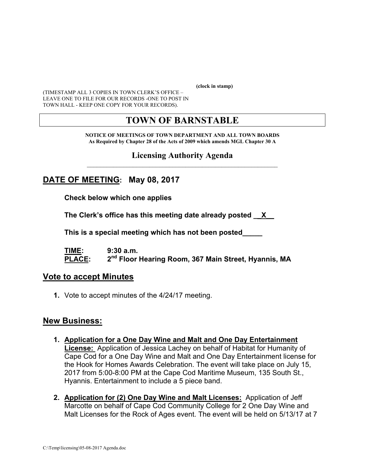**(clock in stamp)** 

(TIMESTAMP ALL 3 COPIES IN TOWN CLERK'S OFFICE – LEAVE ONE TO FILE FOR OUR RECORDS -ONE TO POST IN TOWN HALL - KEEP ONE COPY FOR YOUR RECORDS).

# **TOWN OF BARNSTABLE**

**NOTICE OF MEETINGS OF TOWN DEPARTMENT AND ALL TOWN BOARDS As Required by Chapter 28 of the Acts of 2009 which amends MGL Chapter 30 A** 

#### **Licensing Authority Agenda**  $\mathcal{L}_\text{max}$  and the contract of the contract of the contract of the contract of the contract of the contract of the contract of the contract of the contract of the contract of the contract of the contract of the contrac

# **DATE OF MEETING: May 08, 2017**

**Check below which one applies** 

**The Clerk's office has this meeting date already posted \_\_X\_\_** 

 **This is a special meeting which has not been posted\_\_\_\_\_** 

**TIME: 9:30 a.m. PLACE: 2nd Floor Hearing Room, 367 Main Street, Hyannis, MA**

#### **Vote to accept Minutes**

**1.** Vote to accept minutes of the 4/24/17 meeting.

#### **New Business:**

- **1. Application for a One Day Wine and Malt and One Day Entertainment License:** Application of Jessica Lachey on behalf of Habitat for Humanity of Cape Cod for a One Day Wine and Malt and One Day Entertainment license for the Hook for Homes Awards Celebration. The event will take place on July 15, 2017 from 5:00-8:00 PM at the Cape Cod Maritime Museum, 135 South St., Hyannis. Entertainment to include a 5 piece band.
- **2. Application for (2) One Day Wine and Malt Licenses:** Application of Jeff Marcotte on behalf of Cape Cod Community College for 2 One Day Wine and Malt Licenses for the Rock of Ages event. The event will be held on 5/13/17 at 7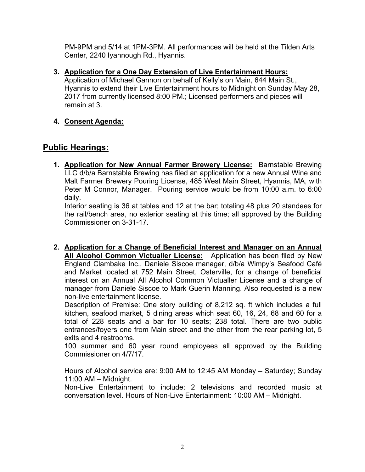PM-9PM and 5/14 at 1PM-3PM. All performances will be held at the Tilden Arts Center, 2240 Iyannough Rd., Hyannis.

**3. Application for a One Day Extension of Live Entertainment Hours:**

Application of Michael Gannon on behalf of Kelly's on Main, 644 Main St., Hyannis to extend their Live Entertainment hours to Midnight on Sunday May 28, 2017 from currently licensed 8:00 PM.; Licensed performers and pieces will remain at 3.

**4. Consent Agenda:** 

# **Public Hearings:**

**1. Application for New Annual Farmer Brewery License:** Barnstable Brewing LLC d/b/a Barnstable Brewing has filed an application for a new Annual Wine and Malt Farmer Brewery Pouring License, 485 West Main Street, Hyannis, MA, with Peter M Connor, Manager. Pouring service would be from 10:00 a.m. to 6:00 daily.

Interior seating is 36 at tables and 12 at the bar; totaling 48 plus 20 standees for the rail/bench area, no exterior seating at this time; all approved by the Building Commissioner on 3-31-17.

**2. Application for a Change of Beneficial Interest and Manager on an Annual All Alcohol Common Victualler License:** Application has been filed by New England Clambake Inc., Daniele Siscoe manager, d/b/a Wimpy's Seafood Café and Market located at 752 Main Street, Osterville, for a change of beneficial interest on an Annual All Alcohol Common Victualler License and a change of manager from Daniele Siscoe to Mark Guerin Manning. Also requested is a new non-live entertainment license.

Description of Premise: One story building of 8,212 sq. ft which includes a full kitchen, seafood market, 5 dining areas which seat 60, 16, 24, 68 and 60 for a total of 228 seats and a bar for 10 seats; 238 total. There are two public entrances/foyers one from Main street and the other from the rear parking lot, 5 exits and 4 restrooms.

100 summer and 60 year round employees all approved by the Building Commissioner on 4/7/17.

Hours of Alcohol service are: 9:00 AM to 12:45 AM Monday – Saturday; Sunday 11:00 AM – Midnight.

Non-Live Entertainment to include: 2 televisions and recorded music at conversation level. Hours of Non-Live Entertainment: 10:00 AM – Midnight.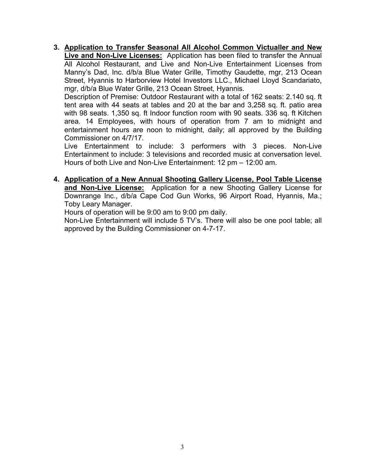**3. Application to Transfer Seasonal All Alcohol Common Victualler and New Live and Non-Live Licenses:** Application has been filed to transfer the Annual All Alcohol Restaurant, and Live and Non-Live Entertainment Licenses from Manny's Dad, Inc. d/b/a Blue Water Grille, Timothy Gaudette, mgr, 213 Ocean Street, Hyannis to Harborview Hotel Investors LLC., Michael Lloyd Scandariato, mgr, d/b/a Blue Water Grille, 213 Ocean Street, Hyannis.

Description of Premise: Outdoor Restaurant with a total of 162 seats: 2.140 sq. ft tent area with 44 seats at tables and 20 at the bar and 3,258 sq. ft. patio area with 98 seats. 1,350 sq. ft Indoor function room with 90 seats. 336 sq. ft Kitchen area. 14 Employees, with hours of operation from 7 am to midnight and entertainment hours are noon to midnight, daily; all approved by the Building Commissioner on 4/7/17.

Live Entertainment to include: 3 performers with 3 pieces. Non-Live Entertainment to include: 3 televisions and recorded music at conversation level. Hours of both Live and Non-Live Entertainment: 12 pm – 12:00 am.

**4. Application of a New Annual Shooting Gallery License, Pool Table License and Non-Live License:** Application for a new Shooting Gallery License for Downrange Inc., d/b/a Cape Cod Gun Works, 96 Airport Road, Hyannis, Ma.; Toby Leary Manager.

Hours of operation will be 9:00 am to 9:00 pm daily.

Non-Live Entertainment will include 5 TV's. There will also be one pool table; all approved by the Building Commissioner on 4-7-17.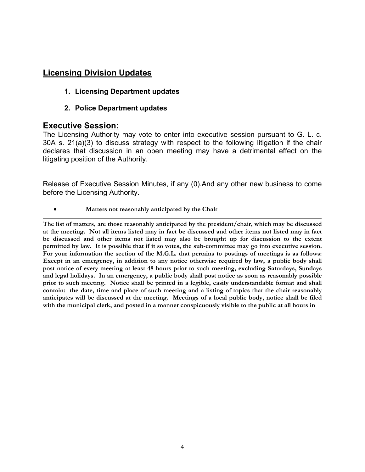## **Licensing Division Updates**

#### **1. Licensing Department updates**

**2. Police Department updates** 

## **Executive Session:**

The Licensing Authority may vote to enter into executive session pursuant to G. L. c. 30A s. 21(a)(3) to discuss strategy with respect to the following litigation if the chair declares that discussion in an open meeting may have a detrimental effect on the litigating position of the Authority.

Release of Executive Session Minutes, if any (0).And any other new business to come before the Licensing Authority.

**Matters not reasonably anticipated by the Chair**

**The list of matters, are those reasonably anticipated by the president/chair, which may be discussed at the meeting. Not all items listed may in fact be discussed and other items not listed may in fact be discussed and other items not listed may also be brought up for discussion to the extent permitted by law. It is possible that if it so votes, the sub-committee may go into executive session. For your information the section of the M.G.L. that pertains to postings of meetings is as follows: Except in an emergency, in addition to any notice otherwise required by law, a public body shall post notice of every meeting at least 48 hours prior to such meeting, excluding Saturdays, Sundays and legal holidays. In an emergency, a public body shall post notice as soon as reasonably possible prior to such meeting. Notice shall be printed in a legible, easily understandable format and shall contain: the date, time and place of such meeting and a listing of topics that the chair reasonably anticipates will be discussed at the meeting. Meetings of a local public body, notice shall be filed with the municipal clerk, and posted in a manner conspicuously visible to the public at all hours in**